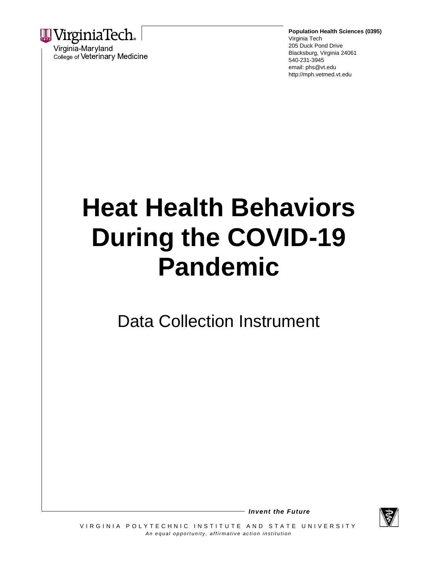

Virginia-Maryland College of Veterinary Medicine **Population Health Sciences (0395)** Virginia Tech 205 Duck Pond Drive Blacksburg, Virginia 24061 540-231-3945 email: phs@vt.edu http://mph.vetmed.vt.edu

# **Heat Health Behaviors During the COVID-19 Pandemic**

Data Collection Instrument



*Invent the Future*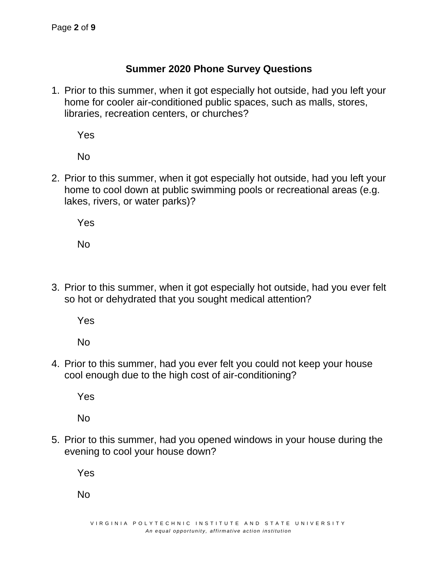## **Summer 2020 Phone Survey Questions**

1. Prior to this summer, when it got especially hot outside, had you left your home for cooler air-conditioned public spaces, such as malls, stores, libraries, recreation centers, or churches?

Yes

No

2. Prior to this summer, when it got especially hot outside, had you left your home to cool down at public swimming pools or recreational areas (e.g. lakes, rivers, or water parks)?

Yes

No

3. Prior to this summer, when it got especially hot outside, had you ever felt so hot or dehydrated that you sought medical attention?

Yes

No

4. Prior to this summer, had you ever felt you could not keep your house cool enough due to the high cost of air-conditioning?

Yes

No

5. Prior to this summer, had you opened windows in your house during the evening to cool your house down?

Yes

No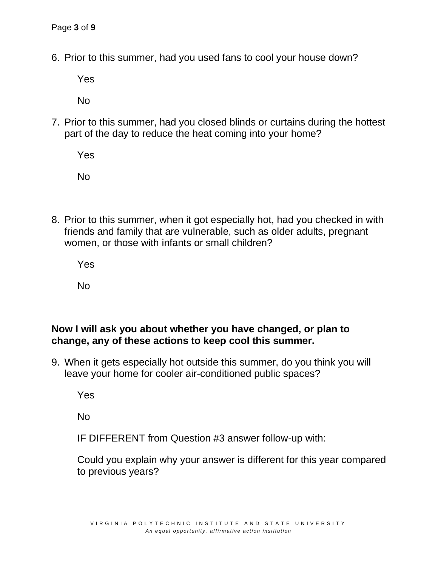6. Prior to this summer, had you used fans to cool your house down?

Yes

No

7. Prior to this summer, had you closed blinds or curtains during the hottest part of the day to reduce the heat coming into your home?

Yes

No

8. Prior to this summer, when it got especially hot, had you checked in with friends and family that are vulnerable, such as older adults, pregnant women, or those with infants or small children?

Yes

No

#### **Now I will ask you about whether you have changed, or plan to change, any of these actions to keep cool this summer.**

9. When it gets especially hot outside this summer, do you think you will leave your home for cooler air-conditioned public spaces?

Yes

No

IF DIFFERENT from Question #3 answer follow-up with:

Could you explain why your answer is different for this year compared to previous years?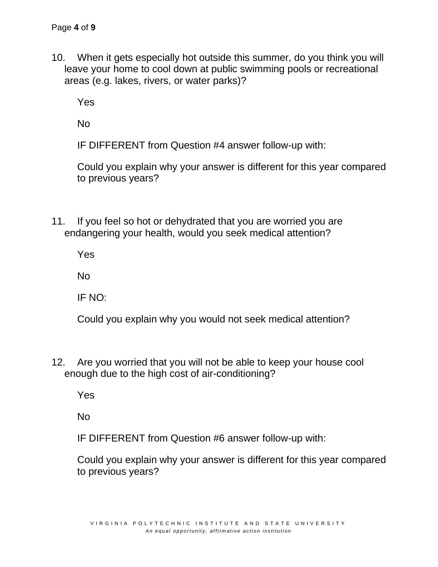10. When it gets especially hot outside this summer, do you think you will leave your home to cool down at public swimming pools or recreational areas (e.g. lakes, rivers, or water parks)?

Yes

No

IF DIFFERENT from Question #4 answer follow-up with:

Could you explain why your answer is different for this year compared to previous years?

11. If you feel so hot or dehydrated that you are worried you are endangering your health, would you seek medical attention?

Yes

No

IF NO:

Could you explain why you would not seek medical attention?

12. Are you worried that you will not be able to keep your house cool enough due to the high cost of air-conditioning?

Yes

No

IF DIFFERENT from Question #6 answer follow-up with:

Could you explain why your answer is different for this year compared to previous years?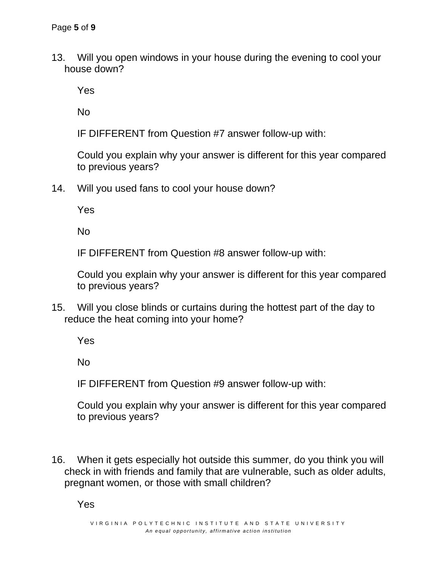13. Will you open windows in your house during the evening to cool your house down?

Yes

No

IF DIFFERENT from Question #7 answer follow-up with:

Could you explain why your answer is different for this year compared to previous years?

14. Will you used fans to cool your house down?

Yes

No

IF DIFFERENT from Question #8 answer follow-up with:

Could you explain why your answer is different for this year compared to previous years?

15. Will you close blinds or curtains during the hottest part of the day to reduce the heat coming into your home?

Yes

No

IF DIFFERENT from Question #9 answer follow-up with:

Could you explain why your answer is different for this year compared to previous years?

16. When it gets especially hot outside this summer, do you think you will check in with friends and family that are vulnerable, such as older adults, pregnant women, or those with small children?

Yes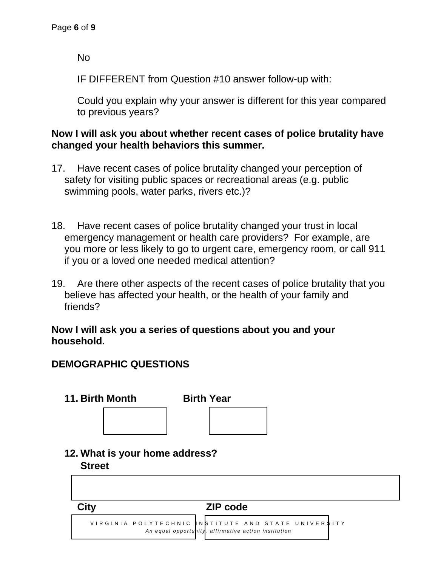No

IF DIFFERENT from Question #10 answer follow-up with:

Could you explain why your answer is different for this year compared to previous years?

## **Now I will ask you about whether recent cases of police brutality have changed your health behaviors this summer.**

- 17. Have recent cases of police brutality changed your perception of safety for visiting public spaces or recreational areas (e.g. public swimming pools, water parks, rivers etc.)?
- 18. Have recent cases of police brutality changed your trust in local emergency management or health care providers? For example, are you more or less likely to go to urgent care, emergency room, or call 911 if you or a loved one needed medical attention?
- 19. Are there other aspects of the recent cases of police brutality that you believe has affected your health, or the health of your family and friends?

#### **Now I will ask you a series of questions about you and your household.**

# **DEMOGRAPHIC QUESTIONS**

| 11. Birth Month                | <b>Birth Year</b>                                    |                               |
|--------------------------------|------------------------------------------------------|-------------------------------|
|                                |                                                      |                               |
|                                |                                                      |                               |
| 12. What is your home address? |                                                      |                               |
| <b>Street</b>                  |                                                      |                               |
|                                |                                                      |                               |
|                                |                                                      |                               |
| <b>City</b>                    | <b>ZIP code</b>                                      |                               |
| VIRGINIA POLYTECHNIC           |                                                      | NSTITUTE AND STATE UNIVERSITY |
|                                | An equal opportunity, affirmative action institution |                               |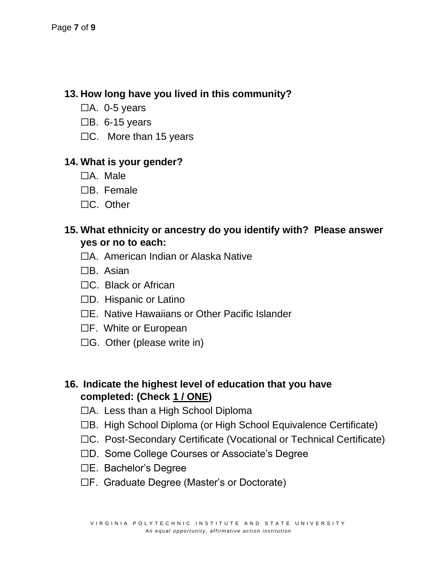# **13. How long have you lived in this community?**

- $\Box$ A. 0-5 years
- $\Box$ B. 6-15 years
- $\Box C$ . More than 15 years

## **14. What is your gender?**

- ☐A. Male
- ☐B. Female
- ☐C. Other

## **15. What ethnicity or ancestry do you identify with? Please answer yes or no to each:**

- ☐A. American Indian or Alaska Native
- ☐B. Asian
- ☐C. Black or African
- ☐D. Hispanic or Latino
- ☐E. Native Hawaiians or Other Pacific Islander
- ☐F. White or European
- ☐G. Other (please write in)

# **16. Indicate the highest level of education that you have completed: (Check 1 / ONE)**

- ☐A. Less than a High School Diploma
- ☐B. High School Diploma (or High School Equivalence Certificate)
- ☐C. Post-Secondary Certificate (Vocational or Technical Certificate)
- ☐D. Some College Courses or Associate's Degree
- ☐E. Bachelor's Degree
- ☐F. Graduate Degree (Master's or Doctorate)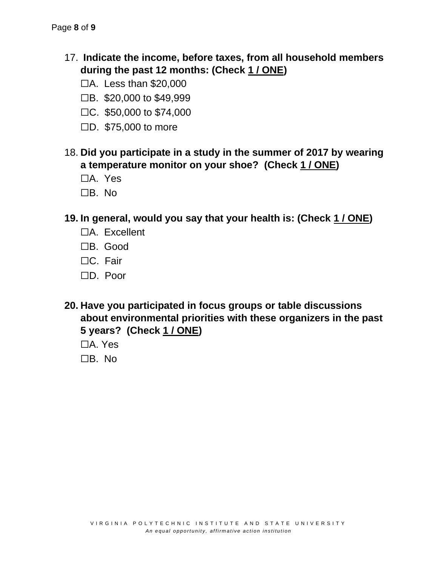- 17. **Indicate the income, before taxes, from all household members during the past 12 months: (Check 1 / ONE)**
	- ☐A. Less than \$20,000
	- ☐B. \$20,000 to \$49,999
	- ☐C. \$50,000 to \$74,000
	- ☐D. \$75,000 to more
- 18. **Did you participate in a study in the summer of 2017 by wearing a temperature monitor on your shoe? (Check 1 / ONE)**
	- ☐A. Yes
	- ☐B. No
- **19. In general, would you say that your health is: (Check 1 / ONE)**
	- ☐A. Excellent
	- ☐B. Good
	- ☐C. Fair
	- ☐D. Poor
- **20. Have you participated in focus groups or table discussions about environmental priorities with these organizers in the past 5 years? (Check 1 / ONE)**
	- ☐A. Yes
	- ☐B. No